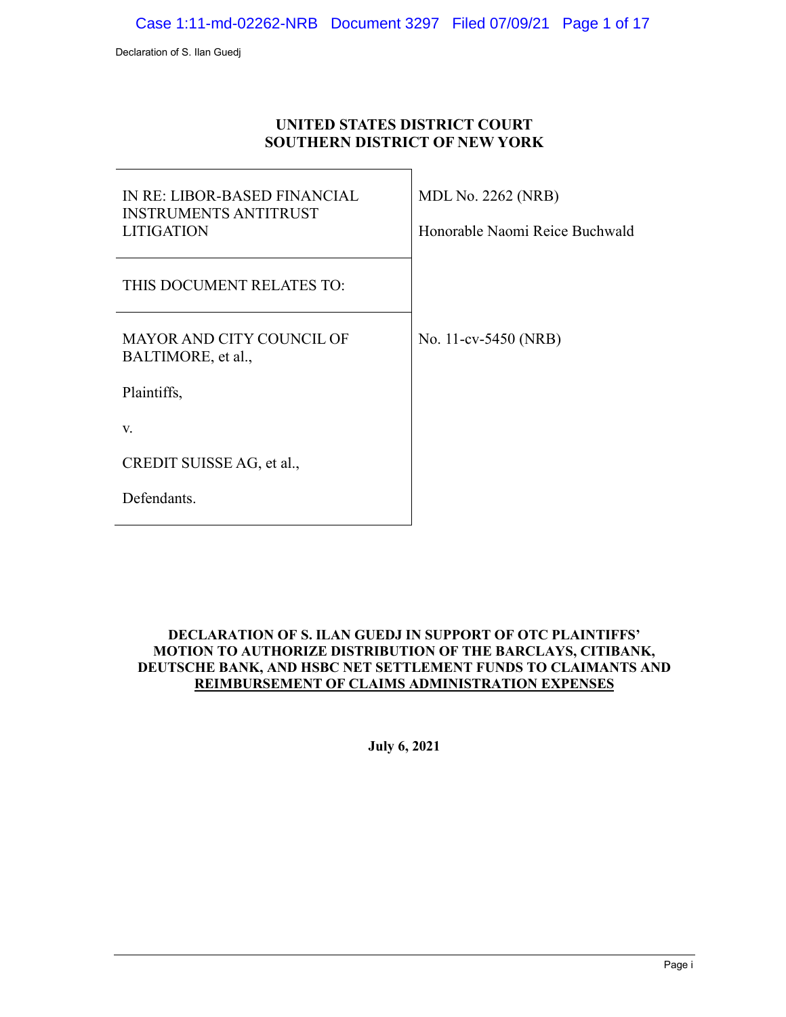### **UNITED STATES DISTRICT COURT SOUTHERN DISTRICT OF NEW YORK**

| IN RE: LIBOR-BASED FINANCIAL<br><b>INSTRUMENTS ANTITRUST</b><br><b>LITIGATION</b> | <b>MDL No. 2262 (NRB)</b><br>Honorable Naomi Reice Buchwald |
|-----------------------------------------------------------------------------------|-------------------------------------------------------------|
| THIS DOCUMENT RELATES TO:                                                         |                                                             |
| <b>MAYOR AND CITY COUNCIL OF</b><br>BALTIMORE, et al.,                            | No. 11-cv-5450 (NRB)                                        |
| Plaintiffs,                                                                       |                                                             |
| V.                                                                                |                                                             |
| CREDIT SUISSE AG, et al.,                                                         |                                                             |
| Defendants.                                                                       |                                                             |

### **DECLARATION OF S. ILAN GUEDJ IN SUPPORT OF OTC PLAINTIFFS' MOTION TO AUTHORIZE DISTRIBUTION OF THE BARCLAYS, CITIBANK, DEUTSCHE BANK, AND HSBC NET SETTLEMENT FUNDS TO CLAIMANTS AND REIMBURSEMENT OF CLAIMS ADMINISTRATION EXPENSES**

**July 6, 2021**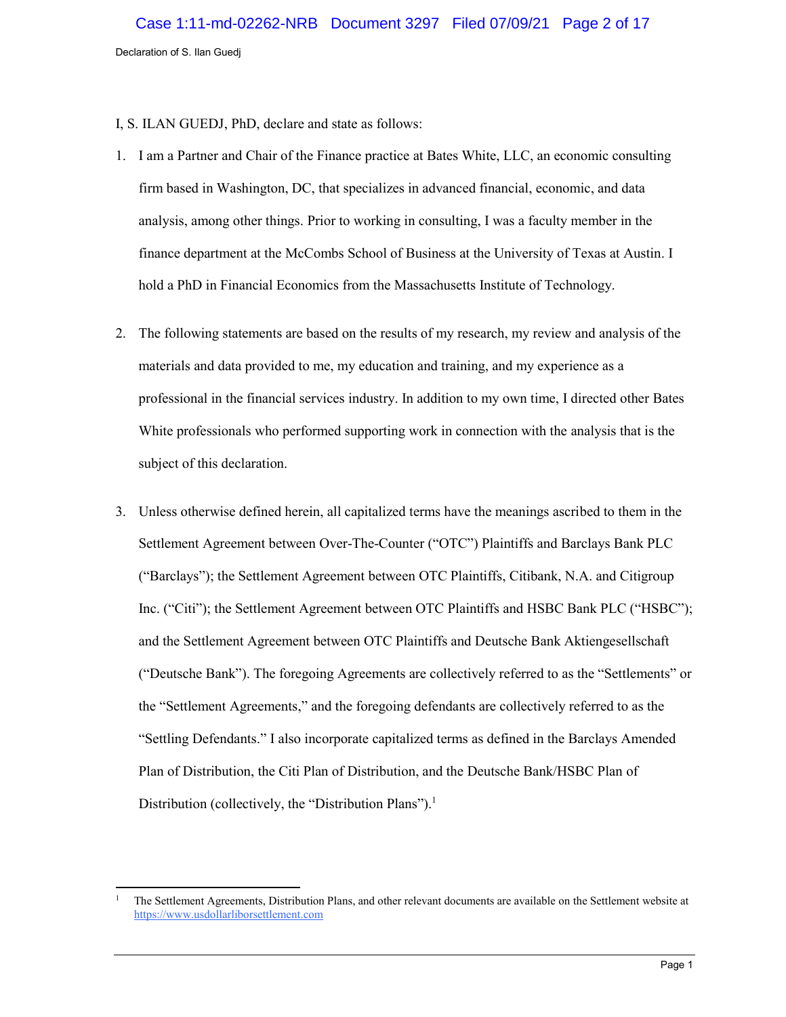I, S. ILAN GUEDJ, PhD, declare and state as follows:

- 1. I am a Partner and Chair of the Finance practice at Bates White, LLC, an economic consulting firm based in Washington, DC, that specializes in advanced financial, economic, and data analysis, among other things. Prior to working in consulting, I was a faculty member in the finance department at the McCombs School of Business at the University of Texas at Austin. I hold a PhD in Financial Economics from the Massachusetts Institute of Technology.
- 2. The following statements are based on the results of my research, my review and analysis of the materials and data provided to me, my education and training, and my experience as a professional in the financial services industry. In addition to my own time, I directed other Bates White professionals who performed supporting work in connection with the analysis that is the subject of this declaration.
- 3. Unless otherwise defined herein, all capitalized terms have the meanings ascribed to them in the Settlement Agreement between Over-The-Counter ("OTC") Plaintiffs and Barclays Bank PLC ("Barclays"); the Settlement Agreement between OTC Plaintiffs, Citibank, N.A. and Citigroup Inc. ("Citi"); the Settlement Agreement between OTC Plaintiffs and HSBC Bank PLC ("HSBC"); and the Settlement Agreement between OTC Plaintiffs and Deutsche Bank Aktiengesellschaft ("Deutsche Bank"). The foregoing Agreements are collectively referred to as the "Settlements" or the "Settlement Agreements," and the foregoing defendants are collectively referred to as the "Settling Defendants." I also incorporate capitalized terms as defined in the Barclays Amended Plan of Distribution, the Citi Plan of Distribution, and the Deutsche Bank/HSBC Plan of Distribution (collectively, the "Distribution Plans").<sup>1</sup>

 $\mathbf{1}$ <sup>1</sup> The Settlement Agreements, Distribution Plans, and other relevant documents are available on the Settlement website at [https://www.usdollarliborsettlement.com](https://www.usdollarliborsettlement.com/)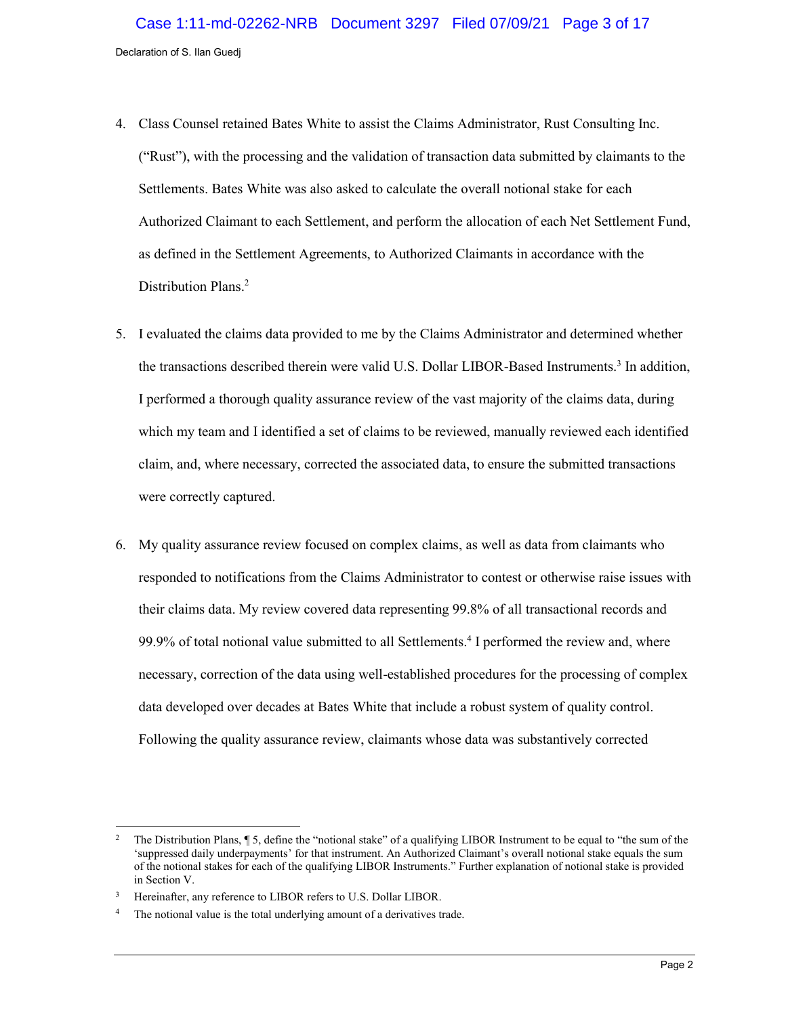- 4. Class Counsel retained Bates White to assist the Claims Administrator, Rust Consulting Inc. ("Rust"), with the processing and the validation of transaction data submitted by claimants to the Settlements. Bates White was also asked to calculate the overall notional stake for each Authorized Claimant to each Settlement, and perform the allocation of each Net Settlement Fund, as defined in the Settlement Agreements, to Authorized Claimants in accordance with the Distribution Plans.<sup>2</sup>
- 5. I evaluated the claims data provided to me by the Claims Administrator and determined whether the transactions described therein were valid U.S. Dollar LIBOR-Based Instruments.<sup>3</sup> In addition, I performed a thorough quality assurance review of the vast majority of the claims data, during which my team and I identified a set of claims to be reviewed, manually reviewed each identified claim, and, where necessary, corrected the associated data, to ensure the submitted transactions were correctly captured.
- 6. My quality assurance review focused on complex claims, as well as data from claimants who responded to notifications from the Claims Administrator to contest or otherwise raise issues with their claims data. My review covered data representing 99.8% of all transactional records and 99.9% of total notional value submitted to all Settlements. 4 I performed the review and, where necessary, correction of the data using well-established procedures for the processing of complex data developed over decades at Bates White that include a robust system of quality control. Following the quality assurance review, claimants whose data was substantively corrected

 $\overline{a}$ <sup>2</sup> The Distribution Plans, ¶ 5, define the "notional stake" of a qualifying LIBOR Instrument to be equal to "the sum of the 'suppressed daily underpayments' for that instrument. An Authorized Claimant's overall notional stake equals the sum of the notional stakes for each of the qualifying LIBOR Instruments." Further explanation of notional stake is provided in Section [V.](#page-11-0)

<sup>3</sup> Hereinafter, any reference to LIBOR refers to U.S. Dollar LIBOR.

<sup>&</sup>lt;sup>4</sup> The notional value is the total underlying amount of a derivatives trade.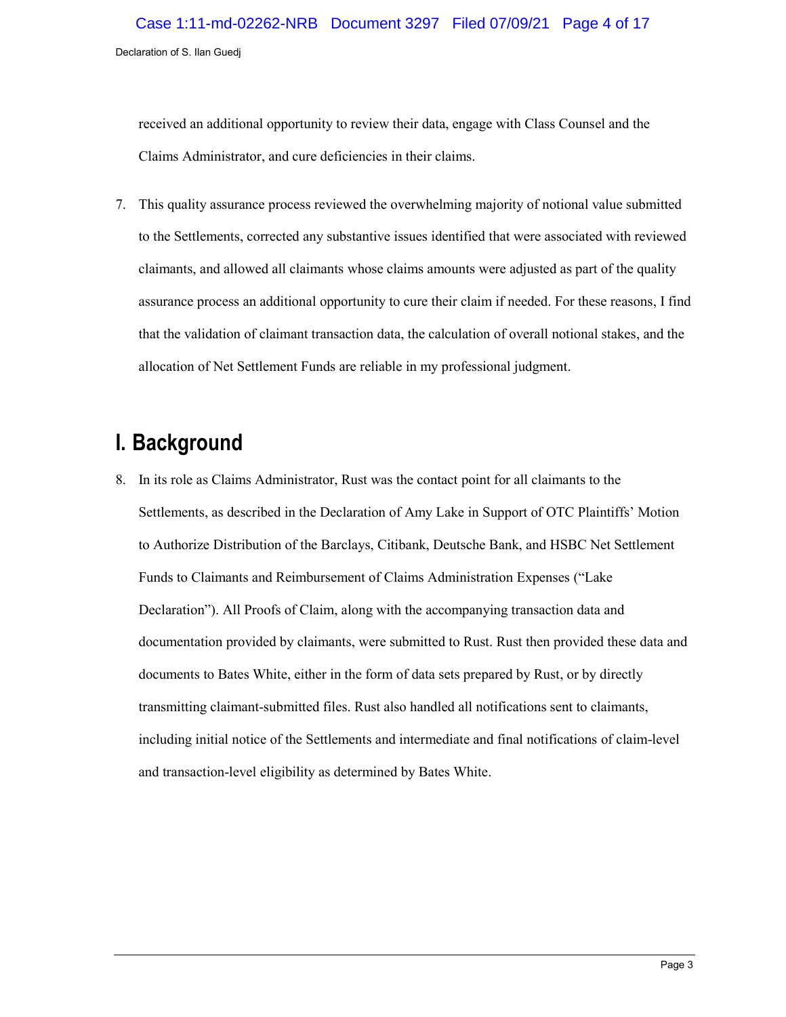received an additional opportunity to review their data, engage with Class Counsel and the Claims Administrator, and cure deficiencies in their claims.

7. This quality assurance process reviewed the overwhelming majority of notional value submitted to the Settlements, corrected any substantive issues identified that were associated with reviewed claimants, and allowed all claimants whose claims amounts were adjusted as part of the quality assurance process an additional opportunity to cure their claim if needed. For these reasons, I find that the validation of claimant transaction data, the calculation of overall notional stakes, and the allocation of Net Settlement Funds are reliable in my professional judgment.

## **I. Background**

8. In its role as Claims Administrator, Rust was the contact point for all claimants to the Settlements, as described in the Declaration of Amy Lake in Support of OTC Plaintiffs' Motion to Authorize Distribution of the Barclays, Citibank, Deutsche Bank, and HSBC Net Settlement Funds to Claimants and Reimbursement of Claims Administration Expenses ("Lake Declaration"). All Proofs of Claim, along with the accompanying transaction data and documentation provided by claimants, were submitted to Rust. Rust then provided these data and documents to Bates White, either in the form of data sets prepared by Rust, or by directly transmitting claimant-submitted files. Rust also handled all notifications sent to claimants, including initial notice of the Settlements and intermediate and final notifications of claim-level and transaction-level eligibility as determined by Bates White.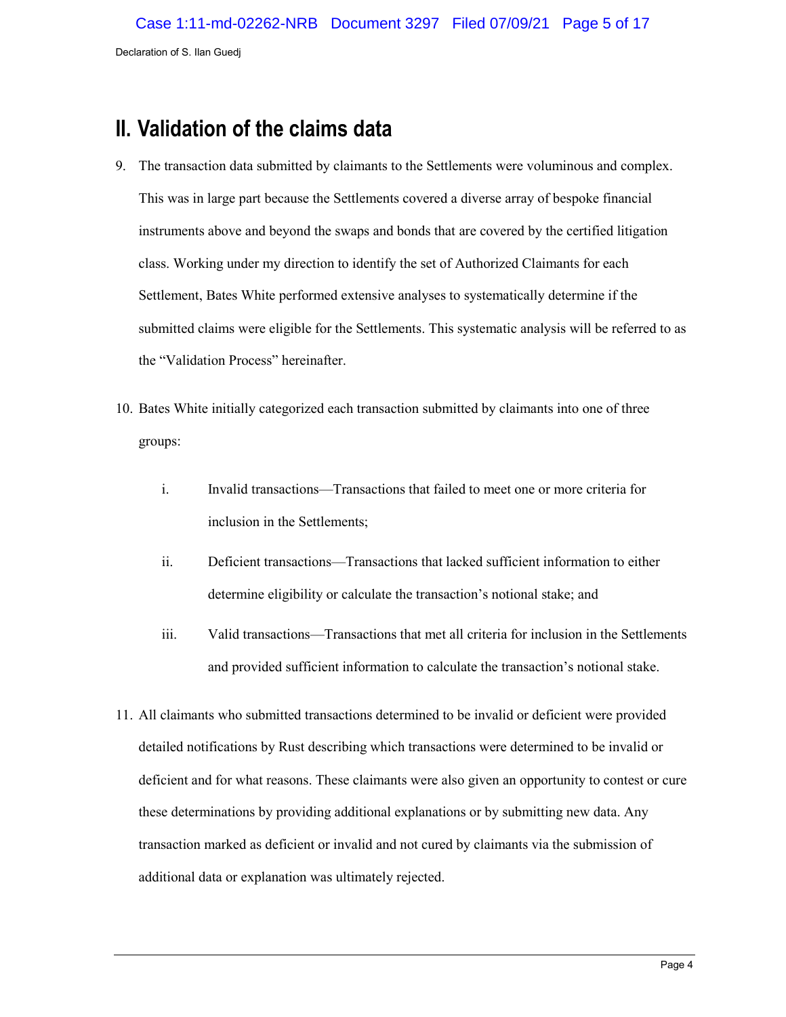## **II. Validation of the claims data**

- 9. The transaction data submitted by claimants to the Settlements were voluminous and complex. This was in large part because the Settlements covered a diverse array of bespoke financial instruments above and beyond the swaps and bonds that are covered by the certified litigation class. Working under my direction to identify the set of Authorized Claimants for each Settlement, Bates White performed extensive analyses to systematically determine if the submitted claims were eligible for the Settlements. This systematic analysis will be referred to as the "Validation Process" hereinafter.
- 10. Bates White initially categorized each transaction submitted by claimants into one of three groups:
	- i. Invalid transactions—Transactions that failed to meet one or more criteria for inclusion in the Settlements;
	- ii. Deficient transactions—Transactions that lacked sufficient information to either determine eligibility or calculate the transaction's notional stake; and
	- iii. Valid transactions—Transactions that met all criteria for inclusion in the Settlements and provided sufficient information to calculate the transaction's notional stake.
- 11. All claimants who submitted transactions determined to be invalid or deficient were provided detailed notifications by Rust describing which transactions were determined to be invalid or deficient and for what reasons. These claimants were also given an opportunity to contest or cure these determinations by providing additional explanations or by submitting new data. Any transaction marked as deficient or invalid and not cured by claimants via the submission of additional data or explanation was ultimately rejected.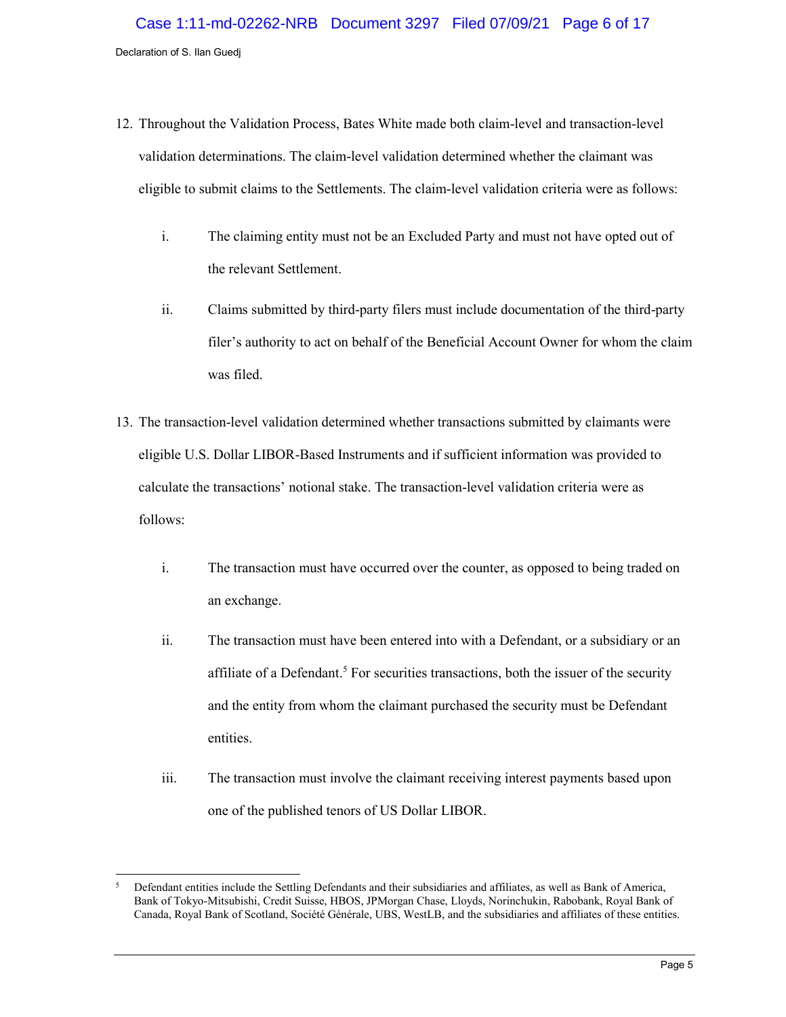- 12. Throughout the Validation Process, Bates White made both claim-level and transaction-level validation determinations. The claim-level validation determined whether the claimant was eligible to submit claims to the Settlements. The claim-level validation criteria were as follows:
	- i. The claiming entity must not be an Excluded Party and must not have opted out of the relevant Settlement.
	- ii. Claims submitted by third-party filers must include documentation of the third-party filer's authority to act on behalf of the Beneficial Account Owner for whom the claim was filed.
- 13. The transaction-level validation determined whether transactions submitted by claimants were eligible U.S. Dollar LIBOR-Based Instruments and if sufficient information was provided to calculate the transactions' notional stake. The transaction-level validation criteria were as follows:
	- i. The transaction must have occurred over the counter, as opposed to being traded on an exchange.
	- ii. The transaction must have been entered into with a Defendant, or a subsidiary or an affiliate of a Defendant.<sup>5</sup> For securities transactions, both the issuer of the security and the entity from whom the claimant purchased the security must be Defendant entities.
	- iii. The transaction must involve the claimant receiving interest payments based upon one of the published tenors of US Dollar LIBOR.

<sup>5</sup> <sup>5</sup> Defendant entities include the Settling Defendants and their subsidiaries and affiliates, as well as Bank of America, Bank of Tokyo-Mitsubishi, Credit Suisse, HBOS, JPMorgan Chase, Lloyds, Norinchukin, Rabobank, Royal Bank of Canada, Royal Bank of Scotland, Société Générale, UBS, WestLB, and the subsidiaries and affiliates of these entities.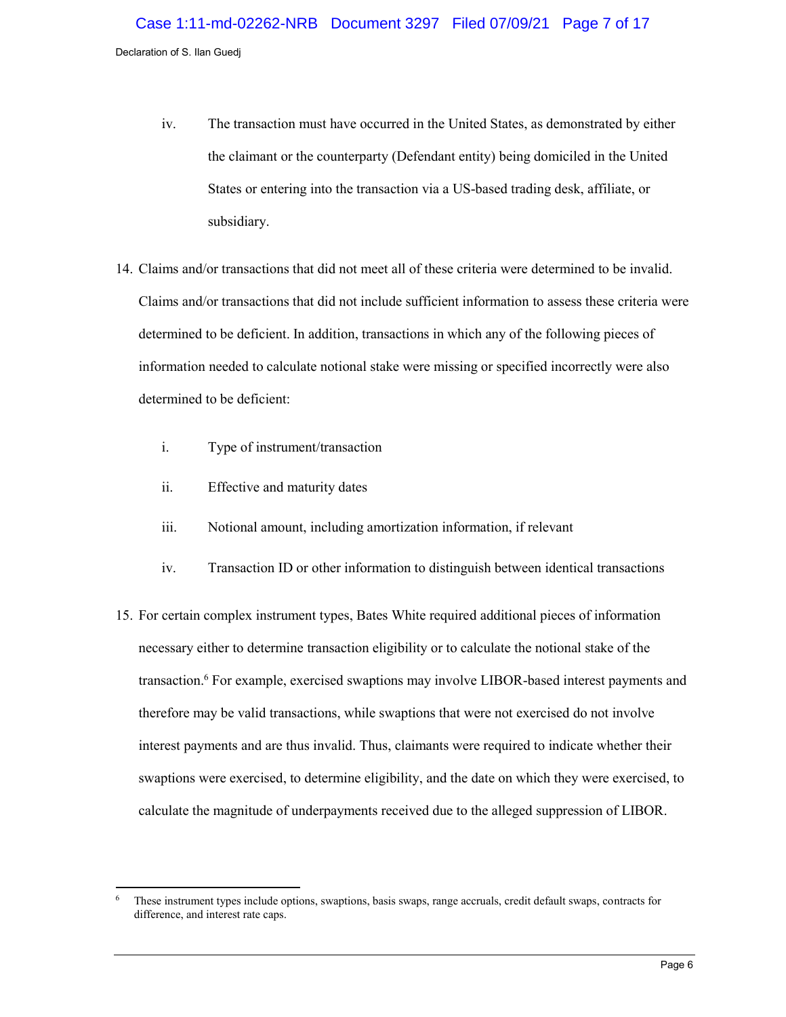- iv. The transaction must have occurred in the United States, as demonstrated by either the claimant or the counterparty (Defendant entity) being domiciled in the United States or entering into the transaction via a US-based trading desk, affiliate, or subsidiary.
- 14. Claims and/or transactions that did not meet all of these criteria were determined to be invalid. Claims and/or transactions that did not include sufficient information to assess these criteria were determined to be deficient. In addition, transactions in which any of the following pieces of information needed to calculate notional stake were missing or specified incorrectly were also determined to be deficient:
	- i. Type of instrument/transaction
	- ii. Effective and maturity dates
	- iii. Notional amount, including amortization information, if relevant
	- iv. Transaction ID or other information to distinguish between identical transactions
- 15. For certain complex instrument types, Bates White required additional pieces of information necessary either to determine transaction eligibility or to calculate the notional stake of the transaction.<sup>6</sup> For example, exercised swaptions may involve LIBOR-based interest payments and therefore may be valid transactions, while swaptions that were not exercised do not involve interest payments and are thus invalid. Thus, claimants were required to indicate whether their swaptions were exercised, to determine eligibility, and the date on which they were exercised, to calculate the magnitude of underpayments received due to the alleged suppression of LIBOR.

 $\overline{6}$ These instrument types include options, swaptions, basis swaps, range accruals, credit default swaps, contracts for difference, and interest rate caps.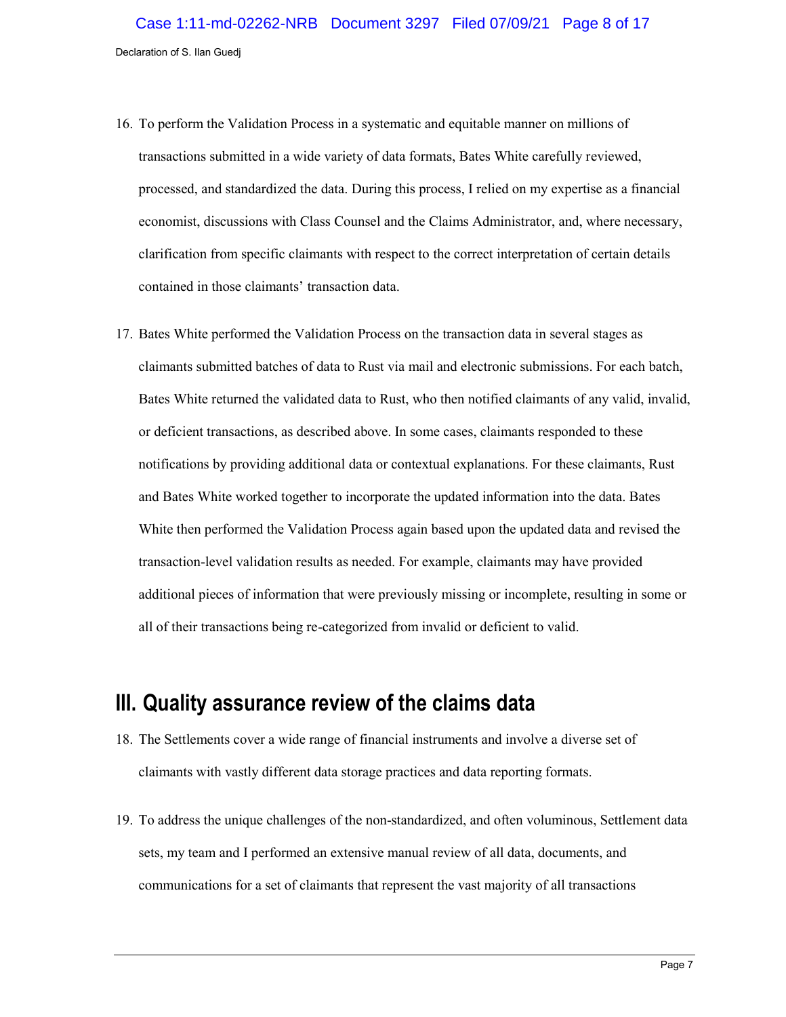- 16. To perform the Validation Process in a systematic and equitable manner on millions of transactions submitted in a wide variety of data formats, Bates White carefully reviewed, processed, and standardized the data. During this process, I relied on my expertise as a financial economist, discussions with Class Counsel and the Claims Administrator, and, where necessary, clarification from specific claimants with respect to the correct interpretation of certain details contained in those claimants' transaction data.
- 17. Bates White performed the Validation Process on the transaction data in several stages as claimants submitted batches of data to Rust via mail and electronic submissions. For each batch, Bates White returned the validated data to Rust, who then notified claimants of any valid, invalid, or deficient transactions, as described above. In some cases, claimants responded to these notifications by providing additional data or contextual explanations. For these claimants, Rust and Bates White worked together to incorporate the updated information into the data. Bates White then performed the Validation Process again based upon the updated data and revised the transaction-level validation results as needed. For example, claimants may have provided additional pieces of information that were previously missing or incomplete, resulting in some or all of their transactions being re-categorized from invalid or deficient to valid.

### **III. Quality assurance review of the claims data**

- 18. The Settlements cover a wide range of financial instruments and involve a diverse set of claimants with vastly different data storage practices and data reporting formats.
- 19. To address the unique challenges of the non-standardized, and often voluminous, Settlement data sets, my team and I performed an extensive manual review of all data, documents, and communications for a set of claimants that represent the vast majority of all transactions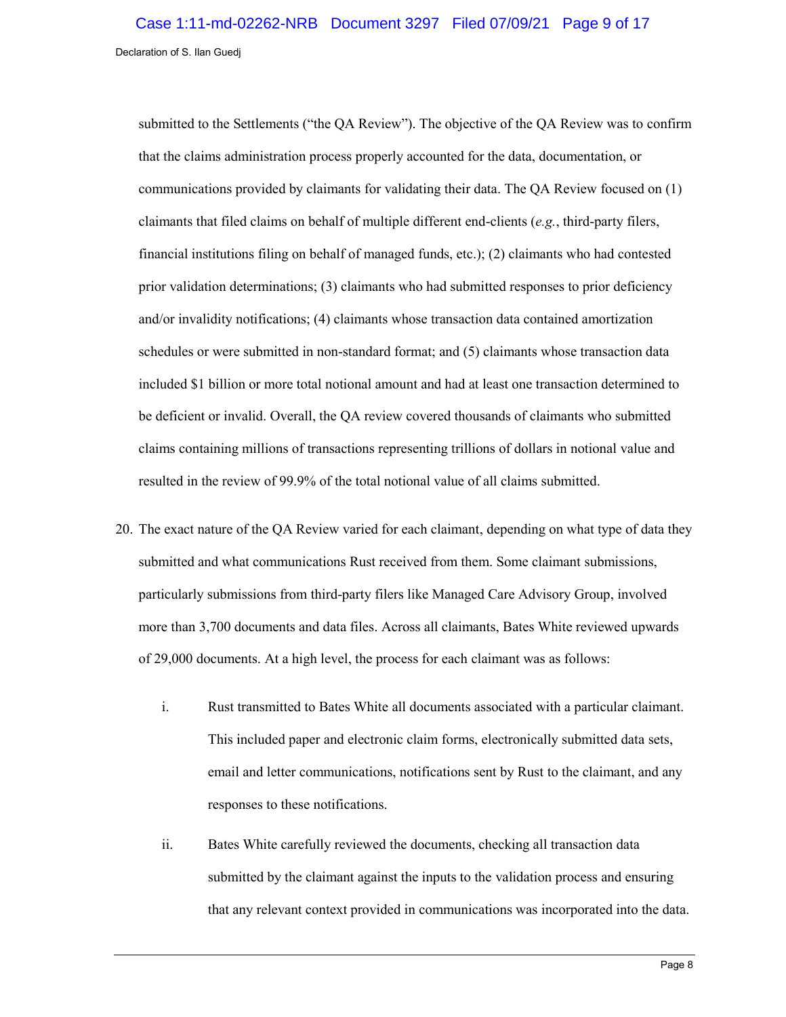submitted to the Settlements ("the QA Review"). The objective of the QA Review was to confirm that the claims administration process properly accounted for the data, documentation, or communications provided by claimants for validating their data. The QA Review focused on (1) claimants that filed claims on behalf of multiple different end-clients (*e.g.*, third-party filers, financial institutions filing on behalf of managed funds, etc.); (2) claimants who had contested prior validation determinations; (3) claimants who had submitted responses to prior deficiency and/or invalidity notifications; (4) claimants whose transaction data contained amortization schedules or were submitted in non-standard format; and (5) claimants whose transaction data included \$1 billion or more total notional amount and had at least one transaction determined to be deficient or invalid. Overall, the QA review covered thousands of claimants who submitted claims containing millions of transactions representing trillions of dollars in notional value and resulted in the review of 99.9% of the total notional value of all claims submitted.

- 20. The exact nature of the QA Review varied for each claimant, depending on what type of data they submitted and what communications Rust received from them. Some claimant submissions, particularly submissions from third-party filers like Managed Care Advisory Group, involved more than 3,700 documents and data files. Across all claimants, Bates White reviewed upwards of 29,000 documents. At a high level, the process for each claimant was as follows:
	- i. Rust transmitted to Bates White all documents associated with a particular claimant. This included paper and electronic claim forms, electronically submitted data sets, email and letter communications, notifications sent by Rust to the claimant, and any responses to these notifications.
	- ii. Bates White carefully reviewed the documents, checking all transaction data submitted by the claimant against the inputs to the validation process and ensuring that any relevant context provided in communications was incorporated into the data.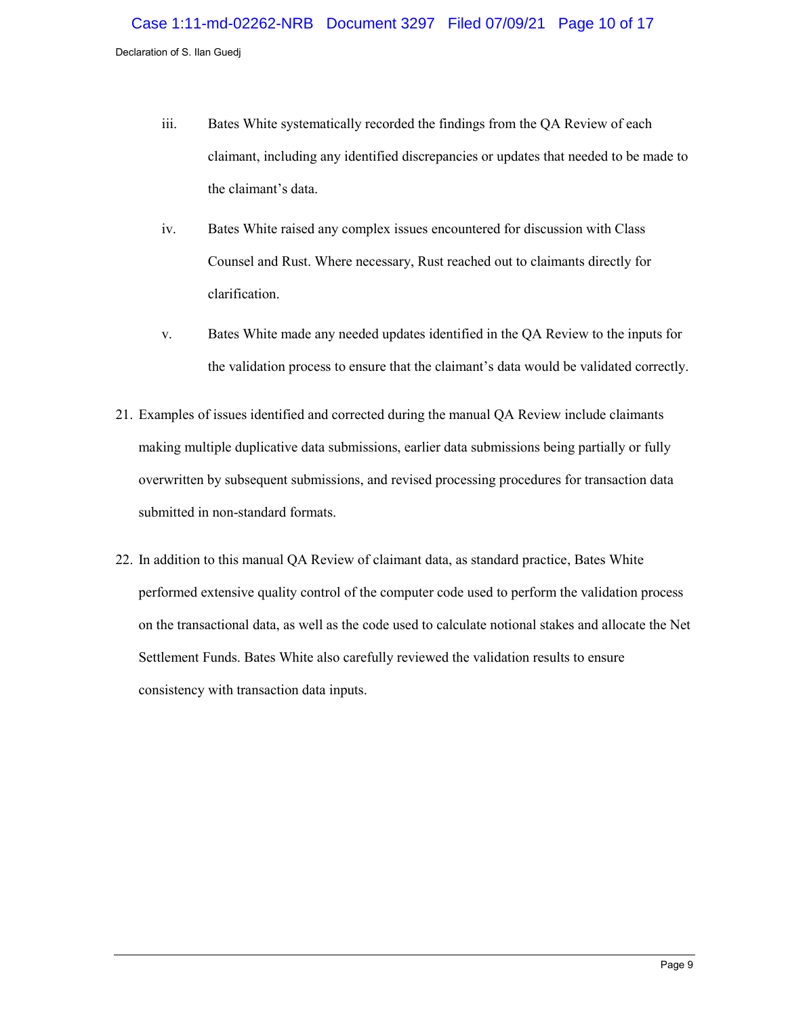- iii. Bates White systematically recorded the findings from the QA Review of each claimant, including any identified discrepancies or updates that needed to be made to the claimant's data.
- iv. Bates White raised any complex issues encountered for discussion with Class Counsel and Rust. Where necessary, Rust reached out to claimants directly for clarification.
- v. Bates White made any needed updates identified in the QA Review to the inputs for the validation process to ensure that the claimant's data would be validated correctly.
- 21. Examples of issues identified and corrected during the manual QA Review include claimants making multiple duplicative data submissions, earlier data submissions being partially or fully overwritten by subsequent submissions, and revised processing procedures for transaction data submitted in non-standard formats.
- 22. In addition to this manual QA Review of claimant data, as standard practice, Bates White performed extensive quality control of the computer code used to perform the validation process on the transactional data, as well as the code used to calculate notional stakes and allocate the Net Settlement Funds. Bates White also carefully reviewed the validation results to ensure consistency with transaction data inputs.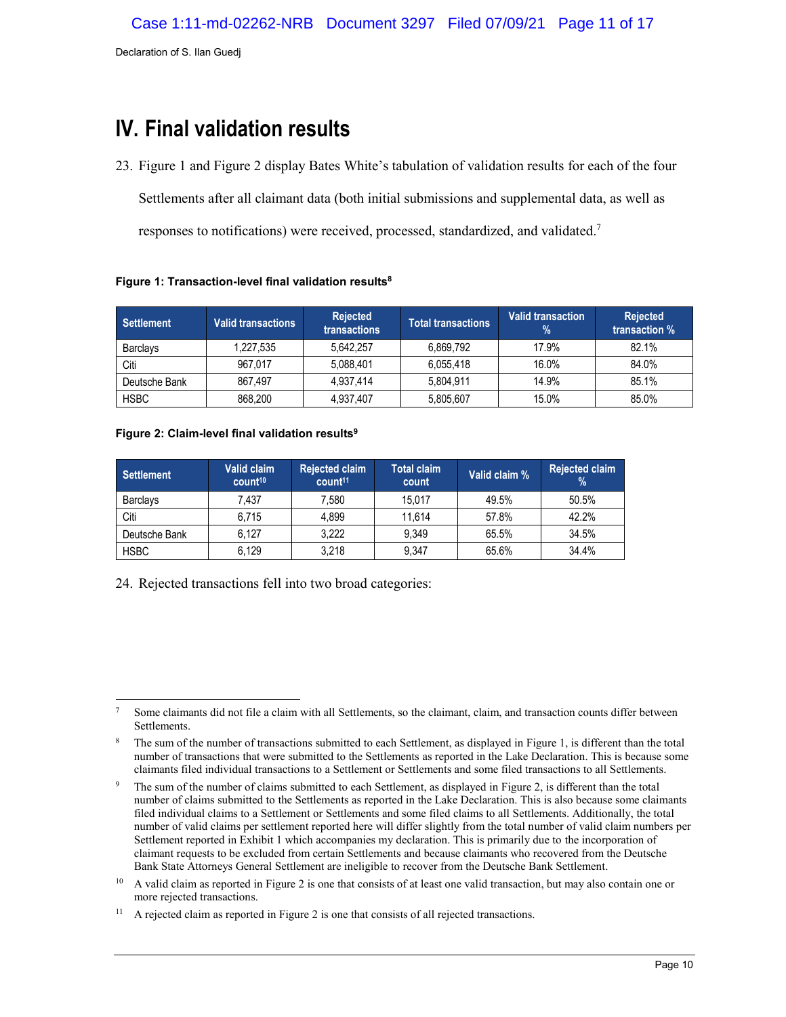# **IV. Final validation results**

23. [Figure 1](#page-10-0) and [Figure 2](#page-10-1) display Bates White's tabulation of validation results for each of the four Settlements after all claimant data (both initial submissions and supplemental data, as well as responses to notifications) were received, processed, standardized, and validated.<sup>7</sup>

| <b>Settlement</b> | <b>Valid transactions</b> | Rejected<br>transactions | <b>Total transactions</b> | <b>Valid transaction</b><br>% | <b>Rejected</b><br>transaction % |
|-------------------|---------------------------|--------------------------|---------------------------|-------------------------------|----------------------------------|
| <b>Barclavs</b>   | 1,227,535                 | 5.642.257                | 6.869.792                 | 17.9%                         | 82.1%                            |
| Citi              | 967.017                   | 5.088.401                | 6.055.418                 | 16.0%                         | 84.0%                            |
| Deutsche Bank     | 867.497                   | 4,937,414                | 5.804.911                 | 14.9%                         | 85.1%                            |
| <b>HSBC</b>       | 868,200                   | 4,937,407                | 5,805,607                 | 15.0%                         | 85.0%                            |

#### <span id="page-10-0"></span>**Figure 1: Transaction-level final validation results<sup>8</sup>**

#### <span id="page-10-1"></span>**Figure 2: Claim-level final validation results<sup>9</sup>**

| <b>Settlement</b> | Valid claim<br>count <sup>10</sup> | <b>Rejected claim</b><br>count <sup>11</sup> | <b>Total claim</b><br>count | Valid claim % | <b>Rejected claim</b><br>$\%$ |
|-------------------|------------------------------------|----------------------------------------------|-----------------------------|---------------|-------------------------------|
| <b>Barclays</b>   | 7.437                              | 7,580                                        | 15.017                      | 49.5%         | 50.5%                         |
| Citi              | 6.715                              | 4.899                                        | 11.614                      | 57.8%         | 42.2%                         |
| Deutsche Bank     | 6.127                              | 3,222                                        | 9.349                       | 65.5%         | 34.5%                         |
| <b>HSBC</b>       | 6.129                              | 3,218                                        | 9.347                       | 65.6%         | 34.4%                         |

24. Rejected transactions fell into two broad categories:

 $\overline{a}$ <sup>7</sup> Some claimants did not file a claim with all Settlements, so the claimant, claim, and transaction counts differ between Settlements.

The sum of the number of transactions submitted to each Settlement, as displayed in [Figure 1,](#page-10-0) is different than the total number of transactions that were submitted to the Settlements as reported in the Lake Declaration. This is because some claimants filed individual transactions to a Settlement or Settlements and some filed transactions to all Settlements.

<sup>&</sup>lt;sup>9</sup> The sum of the number of claims submitted to each Settlement, as displayed i[n Figure 2,](#page-10-1) is different than the total number of claims submitted to the Settlements as reported in the Lake Declaration. This is also because some claimants filed individual claims to a Settlement or Settlements and some filed claims to all Settlements. Additionally, the total number of valid claims per settlement reported here will differ slightly from the total number of valid claim numbers per Settlement reported in Exhibit 1 which accompanies my declaration. This is primarily due to the incorporation of claimant requests to be excluded from certain Settlements and because claimants who recovered from the Deutsche Bank State Attorneys General Settlement are ineligible to recover from the Deutsche Bank Settlement.

<sup>&</sup>lt;sup>10</sup> A valid claim as reported in [Figure 2](#page-10-1) is one that consists of at least one valid transaction, but may also contain one or more rejected transactions.

<sup>&</sup>lt;sup>11</sup> A rejected claim as reported i[n Figure 2](#page-10-1) is one that consists of all rejected transactions.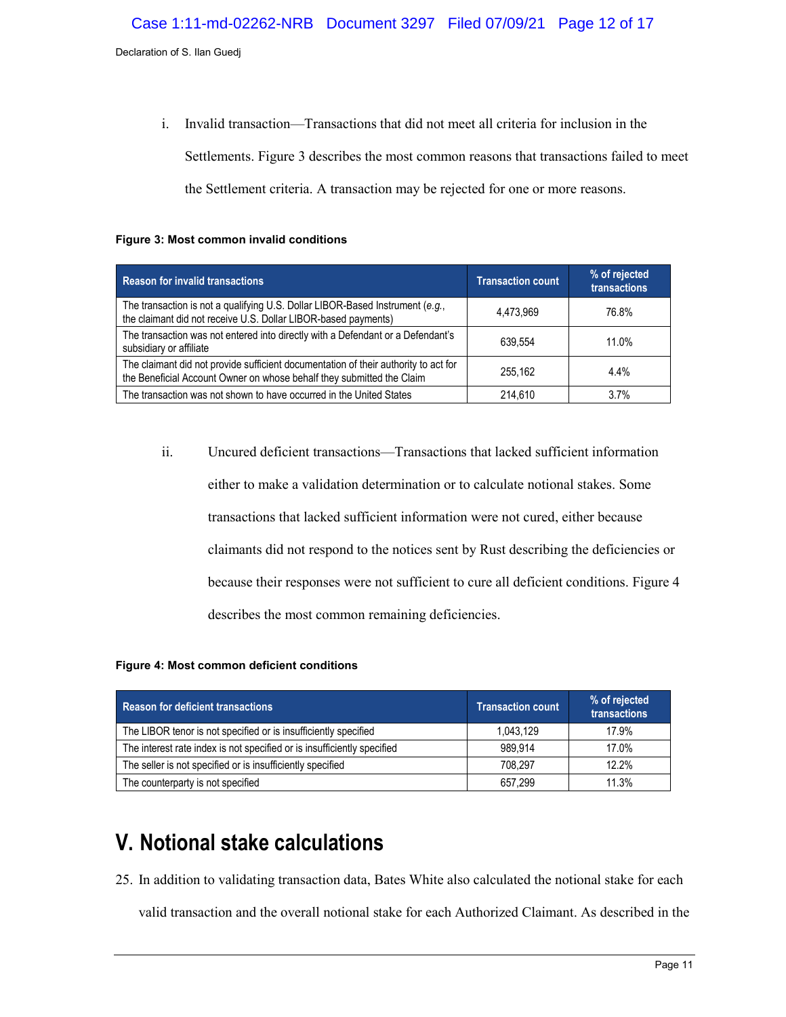i. Invalid transaction—Transactions that did not meet all criteria for inclusion in the Settlements. [Figure 3](#page-11-1) describes the most common reasons that transactions failed to meet the Settlement criteria. A transaction may be rejected for one or more reasons.

#### <span id="page-11-1"></span>**Figure 3: Most common invalid conditions**

| <b>Reason for invalid transactions</b>                                                                                                                       | <b>Transaction count</b> | % of rejected<br>transactions |
|--------------------------------------------------------------------------------------------------------------------------------------------------------------|--------------------------|-------------------------------|
| The transaction is not a qualifying U.S. Dollar LIBOR-Based Instrument (e.g.,<br>the claimant did not receive U.S. Dollar LIBOR-based payments)              | 4,473,969                | 76.8%                         |
| The transaction was not entered into directly with a Defendant or a Defendant's<br>subsidiary or affiliate                                                   | 639.554                  | 11.0%                         |
| The claimant did not provide sufficient documentation of their authority to act for<br>the Beneficial Account Owner on whose behalf they submitted the Claim | 255.162                  | $4.4\%$                       |
| The transaction was not shown to have occurred in the United States                                                                                          | 214.610                  | 3.7%                          |

ii. Uncured deficient transactions—Transactions that lacked sufficient information either to make a validation determination or to calculate notional stakes. Some transactions that lacked sufficient information were not cured, either because claimants did not respond to the notices sent by Rust describing the deficiencies or because their responses were not sufficient to cure all deficient conditions[. Figure 4](#page-11-2) describes the most common remaining deficiencies.

#### <span id="page-11-2"></span>**Figure 4: Most common deficient conditions**

| <b>Reason for deficient transactions</b>                                | <b>Transaction count</b> | % of rejected<br>transactions |
|-------------------------------------------------------------------------|--------------------------|-------------------------------|
| The LIBOR tenor is not specified or is insufficiently specified         | 1,043,129                | 17.9%                         |
| The interest rate index is not specified or is insufficiently specified | 989.914                  | 17.0%                         |
| The seller is not specified or is insufficiently specified              | 708.297                  | 12.2%                         |
| The counterparty is not specified                                       | 657.299                  | 11.3%                         |

# <span id="page-11-0"></span>**V. Notional stake calculations**

25. In addition to validating transaction data, Bates White also calculated the notional stake for each

valid transaction and the overall notional stake for each Authorized Claimant. As described in the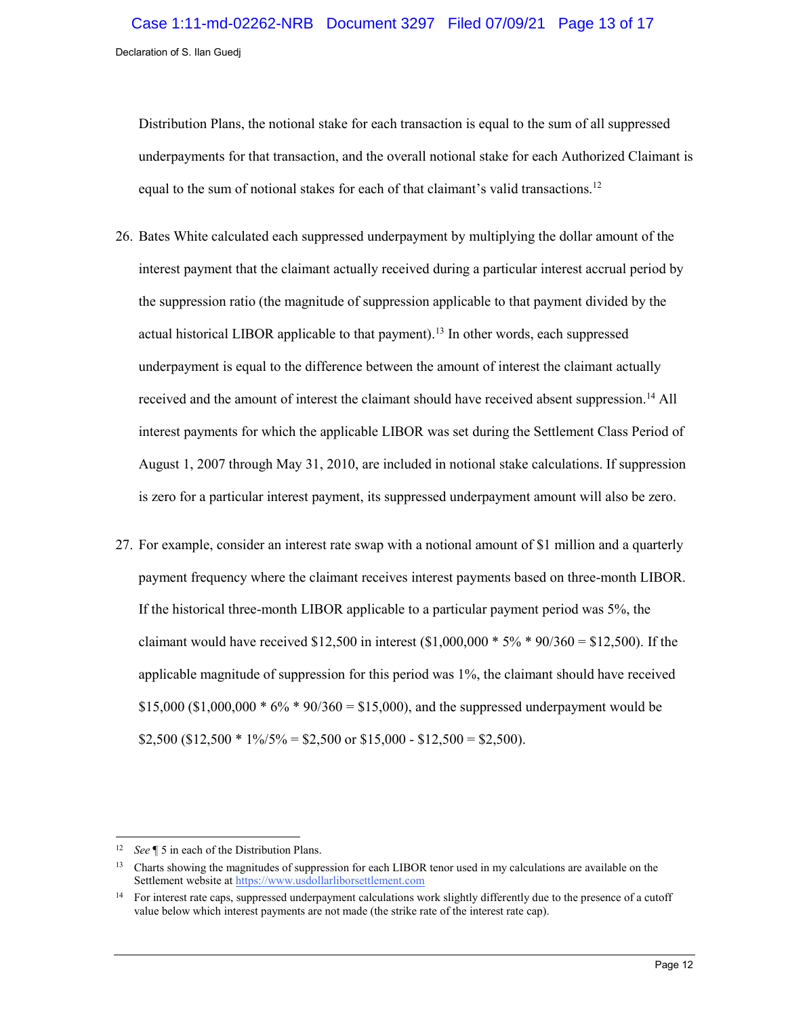Distribution Plans, the notional stake for each transaction is equal to the sum of all suppressed underpayments for that transaction, and the overall notional stake for each Authorized Claimant is equal to the sum of notional stakes for each of that claimant's valid transactions.<sup>12</sup>

- 26. Bates White calculated each suppressed underpayment by multiplying the dollar amount of the interest payment that the claimant actually received during a particular interest accrual period by the suppression ratio (the magnitude of suppression applicable to that payment divided by the actual historical LIBOR applicable to that payment).<sup>13</sup> In other words, each suppressed underpayment is equal to the difference between the amount of interest the claimant actually received and the amount of interest the claimant should have received absent suppression.<sup>14</sup> All interest payments for which the applicable LIBOR was set during the Settlement Class Period of August 1, 2007 through May 31, 2010, are included in notional stake calculations. If suppression is zero for a particular interest payment, its suppressed underpayment amount will also be zero.
- 27. For example, consider an interest rate swap with a notional amount of \$1 million and a quarterly payment frequency where the claimant receives interest payments based on three-month LIBOR. If the historical three-month LIBOR applicable to a particular payment period was 5%, the claimant would have received \$12,500 in interest  $(\$1,000,000 * 5\% * 90/360 = \$12,500)$ . If the applicable magnitude of suppression for this period was 1%, the claimant should have received \$15,000 (\$1,000,000  $* 6\% * 90/360 = $15,000$ ), and the suppressed underpayment would be  $$2,500 ($12,500 * 1\% / 5\% = $2,500 \text{ or } $15,000 - $12,500 = $2,500).$

 $\overline{a}$ <sup>12</sup> *See* ¶ 5 in each of the Distribution Plans.

<sup>&</sup>lt;sup>13</sup> Charts showing the magnitudes of suppression for each LIBOR tenor used in my calculations are available on the Settlement website a[t https://www.usdollarliborsettlement.com](https://www.usdollarliborsettlement.com/)

<sup>&</sup>lt;sup>14</sup> For interest rate caps, suppressed underpayment calculations work slightly differently due to the presence of a cutoff value below which interest payments are not made (the strike rate of the interest rate cap).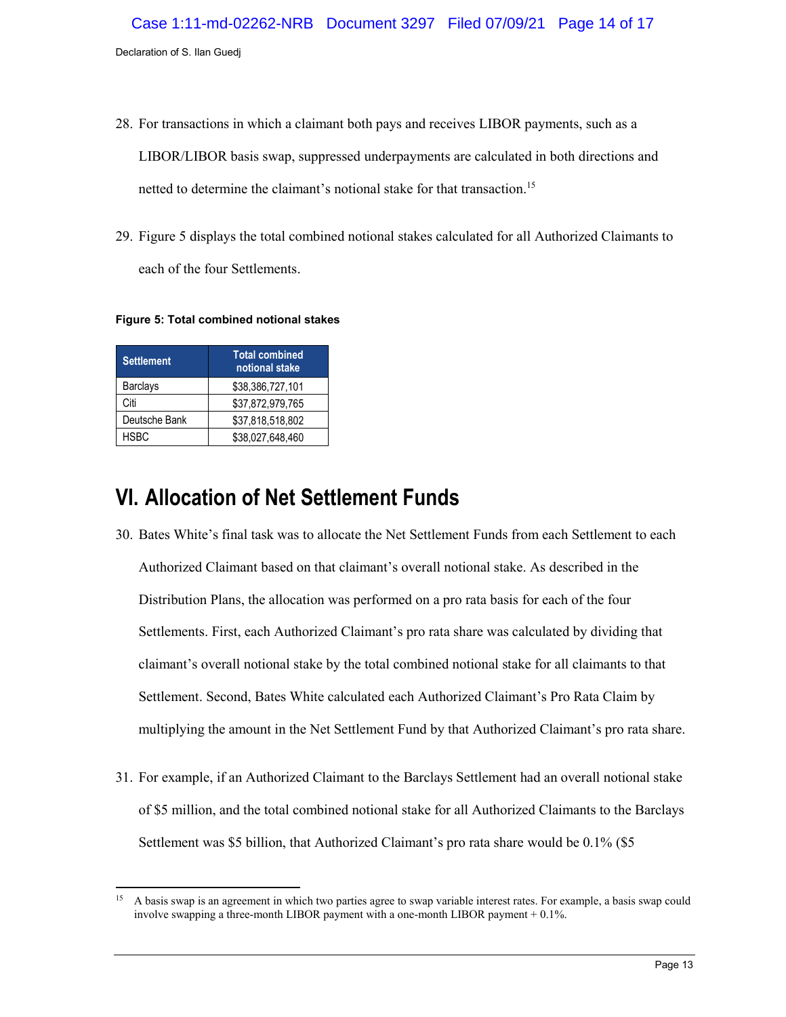- 28. For transactions in which a claimant both pays and receives LIBOR payments, such as a LIBOR/LIBOR basis swap, suppressed underpayments are calculated in both directions and netted to determine the claimant's notional stake for that transaction.<sup>15</sup>
- 29. [Figure 5](#page-13-0) displays the total combined notional stakes calculated for all Authorized Claimants to each of the four Settlements.

<span id="page-13-0"></span>**Figure 5: Total combined notional stakes**

| <b>Settlement</b> | <b>Total combined</b><br>notional stake |
|-------------------|-----------------------------------------|
| <b>Barclays</b>   | \$38,386,727,101                        |
| Citi              | \$37,872,979,765                        |
| Deutsche Bank     | \$37,818,518,802                        |
| <b>HSBC</b>       | \$38,027,648,460                        |

## **VI. Allocation of Net Settlement Funds**

- 30. Bates White's final task was to allocate the Net Settlement Funds from each Settlement to each Authorized Claimant based on that claimant's overall notional stake. As described in the Distribution Plans, the allocation was performed on a pro rata basis for each of the four Settlements. First, each Authorized Claimant's pro rata share was calculated by dividing that claimant's overall notional stake by the total combined notional stake for all claimants to that Settlement. Second, Bates White calculated each Authorized Claimant's Pro Rata Claim by multiplying the amount in the Net Settlement Fund by that Authorized Claimant's pro rata share.
- 31. For example, if an Authorized Claimant to the Barclays Settlement had an overall notional stake of \$5 million, and the total combined notional stake for all Authorized Claimants to the Barclays Settlement was \$5 billion, that Authorized Claimant's pro rata share would be 0.1% (\$5

<sup>15</sup> <sup>15</sup> A basis swap is an agreement in which two parties agree to swap variable interest rates. For example, a basis swap could involve swapping a three-month LIBOR payment with a one-month LIBOR payment + 0.1%.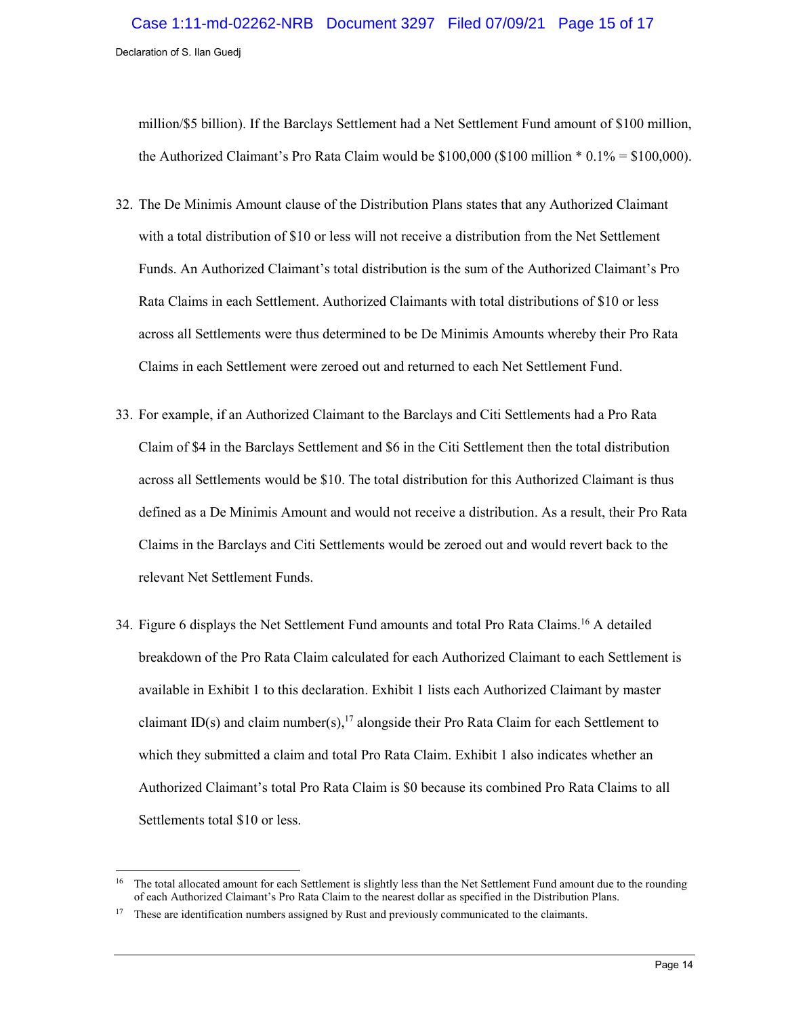million/\$5 billion). If the Barclays Settlement had a Net Settlement Fund amount of \$100 million, the Authorized Claimant's Pro Rata Claim would be  $$100,000$  (\$100 million  $* 0.1\% = $100,000$ ).

- 32. The De Minimis Amount clause of the Distribution Plans states that any Authorized Claimant with a total distribution of \$10 or less will not receive a distribution from the Net Settlement Funds. An Authorized Claimant's total distribution is the sum of the Authorized Claimant's Pro Rata Claims in each Settlement. Authorized Claimants with total distributions of \$10 or less across all Settlements were thus determined to be De Minimis Amounts whereby their Pro Rata Claims in each Settlement were zeroed out and returned to each Net Settlement Fund.
- 33. For example, if an Authorized Claimant to the Barclays and Citi Settlements had a Pro Rata Claim of \$4 in the Barclays Settlement and \$6 in the Citi Settlement then the total distribution across all Settlements would be \$10. The total distribution for this Authorized Claimant is thus defined as a De Minimis Amount and would not receive a distribution. As a result, their Pro Rata Claims in the Barclays and Citi Settlements would be zeroed out and would revert back to the relevant Net Settlement Funds.
- 34. [Figure 6](#page-15-0) displays the Net Settlement Fund amounts and total Pro Rata Claims. <sup>16</sup> A detailed breakdown of the Pro Rata Claim calculated for each Authorized Claimant to each Settlement is available in Exhibit 1 to this declaration. Exhibit 1 lists each Authorized Claimant by master claimant ID(s) and claim number(s),<sup>17</sup> alongside their Pro Rata Claim for each Settlement to which they submitted a claim and total Pro Rata Claim. Exhibit 1 also indicates whether an Authorized Claimant's total Pro Rata Claim is \$0 because its combined Pro Rata Claims to all Settlements total \$10 or less.

 $\ddot{\phantom{a}}$ 

<sup>16</sup> The total allocated amount for each Settlement is slightly less than the Net Settlement Fund amount due to the rounding of each Authorized Claimant's Pro Rata Claim to the nearest dollar as specified in the Distribution Plans.

<sup>&</sup>lt;sup>17</sup> These are identification numbers assigned by Rust and previously communicated to the claimants.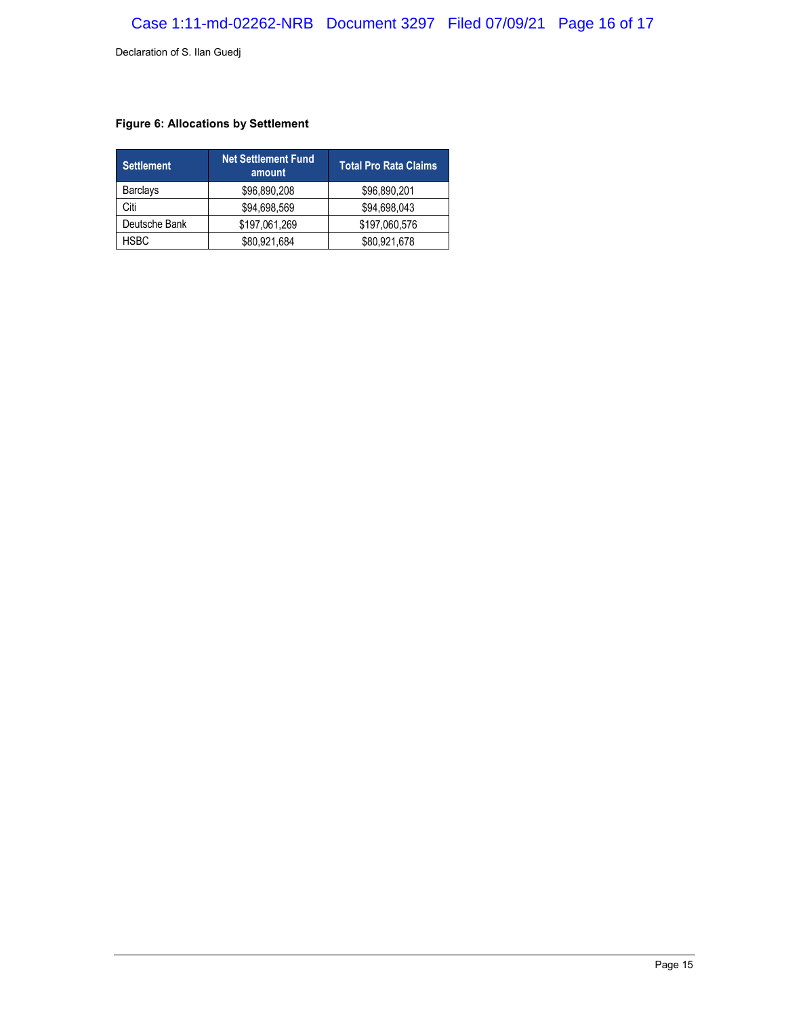### <span id="page-15-0"></span>**Figure 6: Allocations by Settlement**

| <b>Settlement</b> | <b>Net Settlement Fund</b><br>amount | <b>Total Pro Rata Claims</b> |  |
|-------------------|--------------------------------------|------------------------------|--|
| <b>Barclays</b>   | \$96,890,208                         | \$96,890,201                 |  |
| Citi              | \$94,698,569                         | \$94,698,043                 |  |
| Deutsche Bank     | \$197,061,269                        | \$197,060,576                |  |
| <b>HSBC</b>       | \$80,921,684                         | \$80,921,678                 |  |